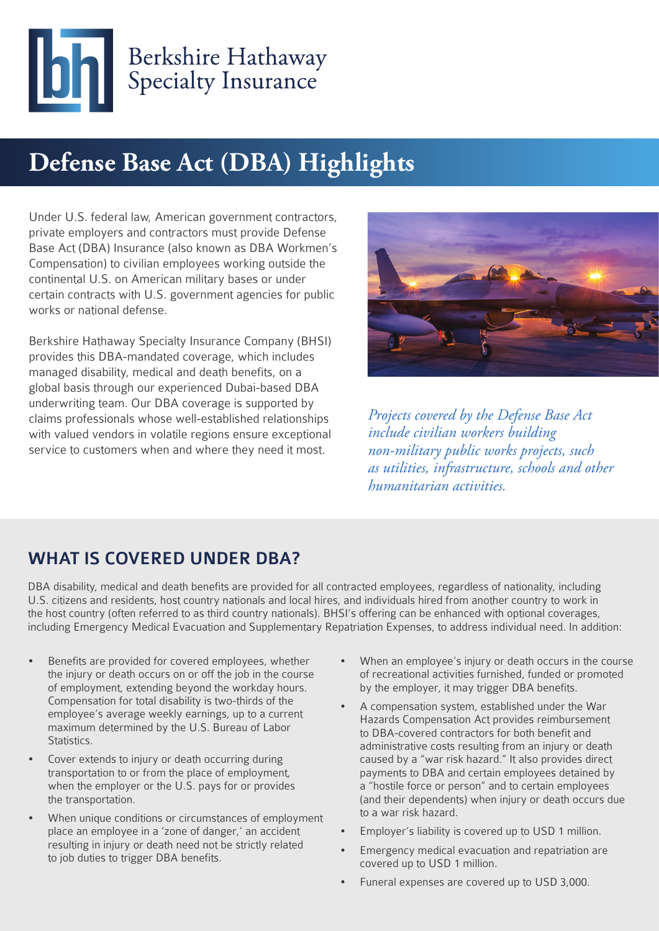

## **Defense Base Act (DBA) Highlights**

Under U.S. federal law, American government contractors, private employers and contractors must provide Defense Base Act (DBA) Insurance (also known as DBA Workmen's Compensation) to civilian employees working outside the continental U.S. on American military bases or under certain contracts with U.S. government agencies for public works or national defense.

Berkshire Hathaway Specialty Insurance Company (BHSI) provides this DBA-mandated coverage, which includes managed disability, medical and death benefits, on a global basis through our experienced Dubai-based DBA underwriting team. Our DBA coverage is supported by claims professionals whose well-established relationships with valued vendors in volatile regions ensure exceptional service to customers when and where they need it most.



*Projects covered by the Defense Base Act include civilian workers building non-military public works projects, such as utilities, infrastructure, schools and other humanitarian activities.* 

### WHAT IS COVERED UNDER DBA?

DBA disability, medical and death benefits are provided for all contracted employees, regardless of nationality, including U.S. citizens and residents, host country nationals and local hires, and individuals hired from another country to work in the host country (often referred to as third country nationals). BHSI's offering can be enhanced with optional coverages, including Emergency Medical Evacuation and Supplementary Repatriation Expenses, to address individual need. In addition:

- Benefits are provided for covered employees, whether the injury or death occurs on or off the job in the course of employment, extending beyond the workday hours. Compensation for total disability is two-thirds of the employee's average weekly earnings, up to a current maximum determined by the U.S. Bureau of Labor Statistics.
- Cover extends to injury or death occurring during transportation to or from the place of employment, when the employer or the U.S. pays for or provides the transportation.
- When unique conditions or circumstances of employment place an employee in a 'zone of danger,' an accident resulting in injury or death need not be strictly related to job duties to trigger DBA benefits.
- When an employee's injury or death occurs in the course of recreational activities furnished, funded or promoted by the employer, it may trigger DBA benefits.
- A compensation system, established under the War Hazards Compensation Act provides reimbursement to DBA-covered contractors for both benefit and administrative costs resulting from an injury or death caused by a "war risk hazard." It also provides direct payments to DBA and certain employees detained by a "hostile force or person" and to certain employees (and their dependents) when injury or death occurs due to a war risk hazard.
- Employer's liability is covered up to USD 1 million.
- Emergency medical evacuation and repatriation are covered up to USD 1 million.
- Funeral expenses are covered up to USD 3,000.